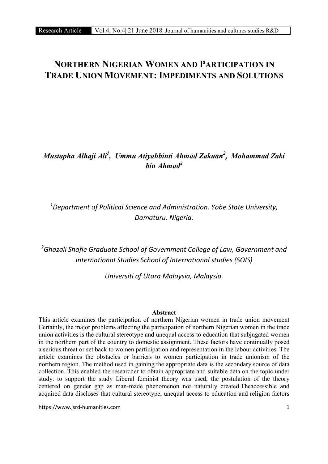# NORTHERN NIGERIAN WOMEN AND PARTICIPATION IN TRADE UNION MOVEMENT: IMPEDIMENTS AND SOLUTIONS

## *Mustapha Alhaji Ali1 , Ummu Atiyahbinti Ahmad Zakuan<sup>2</sup> , Mohammad Zaki bin Ahmad2*

*1 Department of Political Science and Administration. Yobe State University, Damaturu. Nigeria.*

*2 Ghazali Shafie Graduate School of Government College of Law, Government and International Studies School of International studies (SOIS)*

*Universiti of Utara Malaysia, Malaysia.*

#### Abstract

This article examines the participation of northern Nigerian women in trade union movement Certainly, the major problems affecting the participation of northern Nigerian women in the trade union activities is the cultural stereotype and unequal access to education that subjugated women in the northern part of the country to domestic assignment. These factors have continually posed a serious threat or set back to women participation and representation in the labour activities. The article examines the obstacles or barriers to women participation in trade unionism of the northern region. The method used in gaining the appropriate data is the secondary source of data collection. This enabled the researcher to obtain appropriate and suitable data on the topic under study. to support the study Liberal feminist theory was used, the postulation of the theory centered on gender gap as man-made phenomenon not naturally created.Theaccessible and acquired data discloses that cultural stereotype, unequal access to education and religion factors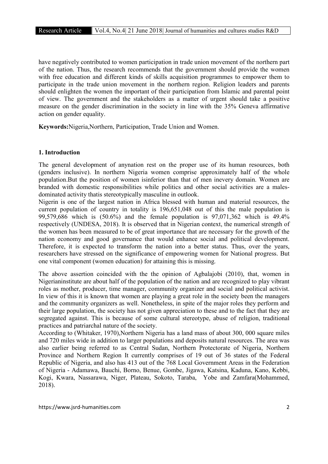have negatively contributed to women participation in trade union movement of the northern part of the nation. Thus, the research recommends that the government should provide the women with free education and different kinds of skills acquisition programmes to empower them to participate in the trade union movement in the northern region. Religion leaders and parents should enlighten the women the important of their participation from Islamic and parental point of view. The government and the stakeholders as a matter of urgent should take a positive measure on the gender discrimination in the society in line with the 35% Geneva affirmative action on gender equality.

Keywords:Nigeria,Northern, Participation, Trade Union and Women.

#### 1. Introduction

The general development of anynation rest on the proper use of its human resources, both (genders inclusive). In northern Nigeria women comprise approximately half of the whole population.But the position of women isinferior than that of men inevery domain. Women are branded with domestic responsibilities while politics and other social activities are a malesdominated activity thatis stereotypically masculine in outlook.

Nigerin is one of the largest nation in Africa blessed with human and material resources, the current population of country in totality is 196,651,048 out of this the male population is 99,579,686 which is (50.6%) and the female population is 97,071,362 which is 49.4% respectively (UNDESA, 2018). It is observed that in Nigerian context, the numerical strength of the women has been measured to be of great importance that are necessary for the growth of the nation economy and good governance that would enhance social and political development. Therefore, it is expected to transform the nation into a better status. Thus, over the years, researchers have stressed on the significance of empowering women for National progress. But one vital component (women education) for attaining this is missing.

The above assertion coincided with the the opinion of Agbalajobi (2010), that, women in Nigerianinstitute are about half of the population of the nation and are recognized to play vibrant roles as mother, producer, time manager, community organizer and social and political activist. In view of this it is known that women are playing a great role in the society been the managers and the community organizers as well. Nonetheless, in spite of the major roles they perform and their large population, the society has not given appreciation to these and to the fact that they are segregated against. This is because of some cultural stereotype, abuse of religion, traditional practices and patriarchal nature of the society.

According to (Whitaker, 1970),Northern Nigeria has a land mass of about 300, 000 square miles and 720 miles wide in addition to larger populations and deposits natural resources. The area was also earlier being referred to as Central Sudan, Northern Protectorate of Nigeria, Northern Province and Northern Region It currently comprises of 19 out of 36 states of the Federal Republic of Nigeria, and also has 413 out of the 768 Local Government Areas in the Federation of Nigeria - Adamawa, Bauchi, Borno, Benue, Gombe, Jigawa, Katsina, Kaduna, Kano, Kebbi, Kogi, Kwara, Nassarawa, Niger, Plateau, Sokoto, Taraba, Yobe and Zamfara(Mohammed, 2018).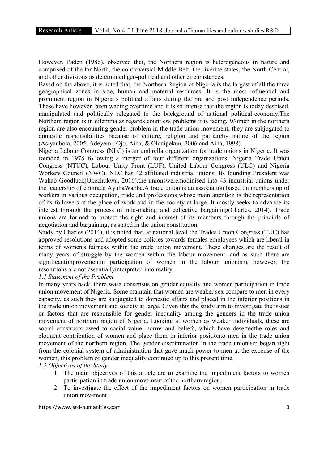However, Paden (1986), observed that, the Northern region is heterogeneous in nature and comprised of the far North, the controversial Middle Belt, the riverine states, the North Central, and other divisions as determined geo-political and other circumstances.

Based on the above, it is noted that, the Northern Region of Nigeria is the largest of all the three geographical zones in size, human and material resources. It is the most influential and prominent region in Nigeria's political affairs during the pre and post independence periods. These have however, been waning overtime and it is so intense that the region is today despised, manipulated and politically relegated to the background of national political-economy.The Northern region is in dilemma as regards countless problems it is facing. Women in the northern region are also encounring gender problem in the trade union movement, they are subjugated to domestic responsibilities because of culture, religion and patriarchy nature of the region (Asiyanbola, 2005, Adeyemi, Ojo, Aina, & Olanipekun, 2006 and Aina, 1998).

Nigeria Labour Congress (NLC) is an umbrella organization for trade unions in Nigeria. It was founded in 1978 following a merger of four different organizations: Nigeria Trade Union Congress (NTUC), Labour Unity Front (LUF), United Labour Congress (ULC) and Nigeria Workers Council (NWC). NLC has 42 affiliated industrial unions. Its founding President was Wahab Goodluck(Okechukwu, 2016).the unionsweremodinised into 43 industrial unions under the leadership of comrade AyubaWabba.A trade union is an association based on membership of workers in various occupation, trade and professions whose main attention is the representation of its followers at the place of work and in the society at large. It mostly seeks to advance its interest through the process of rule-making and collective bargaining(Charles, 2014). Trade unions are formed to protect the right and interest of its members through the principle of negotiation and bargaining, as stated in the union constitution.

Study by Charles (2014), it is noted that, at national level the Trades Union Congress (TUC) has approved resolutions and adopted some policies towards females employees which are liberal in terms of women's fairness within the trade union movement. These changes are the result of many years of struggle by the women within the labour movement, and as such there are significantimprovementin participation of women in the labour unionism, however, the resolutions are not essentiallyinterpreted into reality.

### *1.1 Statement of the Problem*

In many years back, there wasa consensus on gender equality and women participation in trade union movement of Nigeria. Some maintain that,women are weaker sex compare to men in every capacity, as such they are subjugated to domestic affairs and placed in the inferior positions in the trade union movement and society at large. Given this the study aim to investigate the issues or factors that are responsible for gender inequality among the genders in the trade union movement of northern region of Nigeria. Looking at women as weaker individuals, these are social constructs owed to social value, norms and beliefs, which have desertedthe roles and eloquent contribution of women and place them in inferior positionto men in the trade union movement of the northern region. The gender discrimination in the trade unionism began right from the colonial system of administration that gave much power to men at the expense of the women, this problem of gender inequality continued up to this present time.

*1.2 Objectives of the Study*

- 1. The main objectives of this article are to examine the impediment factors to women participation in trade union movement of the northern region.
- 2. To investigate the effect of the impediment factors on women participation in trade union movement.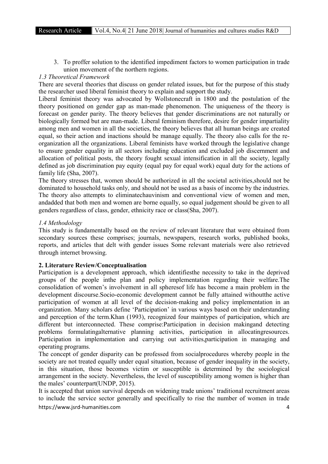3. To proffer solution to the identified impediment factors to women participation in trade union movement of the northern regions.

#### *1.3 Theoretical Framework*

There are several theories that discuss on gender related issues, but for the purpose of this study the researcher used liberal feminist theory to explain and support the study.

Liberal feminist theory was advocated by Wollstonecraft in 1800 and the postulation of the theory positioned on gender gap as man-made phenomenon. The uniqueness of the theory is forecast on gender parity. The theory believes that gender discriminations are not naturally or biologically formed but are man-made. Liberal feminism therefore, desire for gender impartiality among men and women in all the societies, the theory believes that all human beings are created equal, so their action and inactions should be manage equally. The theory also calls for the reorganization all the organizations. Liberal feminists have worked through the legislative change to ensure gender equality in all sectors including education and excluded job discernment and allocation of political posts, the theory fought sexual intensification in all the society, legally defined as job discrimination pay equity (equal pay for equal work) equal duty for the actions of family life (Sha, 2007).

The theory stresses that, women should be authorized in all the societal activities,should not be dominated to household tasks only, and should not be used as a basis of income by the industries. The theory also attempts to eliminatechauvinism and conventional view of women and men, andadded that both men and women are borne equally, so equal judgement should be given to all genders regardless of class, gender, ethnicity race or class(Sha, 2007).

#### *1.4 Methodology*

This study is fundamentally based on the review of relevant literature that were obtained from secondary sources these comprises; journals, newspapers, research works, published books, reports, and articles that delt with gender issues Some relevant materials were also retrieved through internet browsing.

#### 2. Literature Review/Conceptualisation

Participation is a development approach, which identifiesthe necessity to take in the deprived groups of the people inthe plan and policy implementation regarding their welfare.The consolidation of women's involvement in all spheresof life has become a main problem in the development discourse.Socio-economic development cannot be fully attained withoutthe active participation of women at all level of the decision-making and policy implementation in an organization. Many scholars define 'Participation' in various ways based on their understanding and perception of the term.Khan (1993), recognized four maintypes of participation, which are different but interconnected. These comprise:Participation in decision makingand detecting problems formulatingalternative planning activities, participation in allocatingresources. Participation in implementation and carrying out activities,participation in managing and operating programs.

The concept of gender disparity can be professed from socialprocedures whereby people in the society are not treated equally under equal situation, because of gender inequality in the society, in this situation, those becomes victim or susceptible is determined by the sociological arrangement in the society. Nevertheless, the level of susceptibility among women is higher than the males' counterpart(UNDP, 2015).

https://www.jsrd-humanities.com 4 It is accepted that union survival depends on widening trade unions' traditional recruitment areas to include the service sector generally and specifically to rise the number of women in trade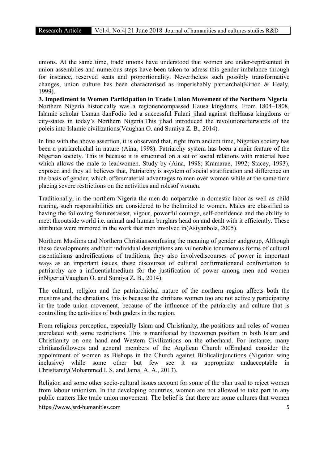unions. At the same time, trade unions have understood that women are under-represented in union assemblies and numerous steps have been taken to adress this gender imbalance through for instance, reserved seats and proportionality. Nevertheless such possibly transformative changes, union culture has been characterised as imperishably patriarchal(Kirton & Healy, 1999).

3. Impediment to Women Participation in Trade Union Movement of the Northern Nigeria Northern Nigeria historically was a regionencompassed Hausa kingdoms, From 1804–1808, Islamic scholar Usman danFodio led a successful Fulani jihad against theHausa kingdoms or city-states in today's Northern Nigeria.This jihad introduced the revolutionafterwards of the poleis into Islamic civilizations(Vaughan O. and Suraiya Z. B., 2014).

In line with the above assertion, it is observerd that, right from ancient time, Nigerian society has been a patriarchichal in nature (Aina, 1998). Patriarchy system has been a main feature of the Nigerian society. This is because it is structured on a set of social relations with material base which allows the male to leadwomen. Study by (Aina, 1998; Kramarae, 1992; Stacey, 1993), exposed and they all believes that, Patriarchy is asystem of social stratification and difference on the basis of gender, which offersmaterial advantages to men over women while at the same time placing severe restrictions on the activities and rolesof women.

Traditionally, in the northern Nigeria the men do notpartake in domestic labor as well as child rearing, such responsibilities are considered to be thelimited to women. Males are classified as having the following features:asset, vigour, powerful courage, self-confidence and the ability to meet theoutside world i.e. animal and human burglars head on and dealt with it efficiently. These attributes were mirrored in the work that men involved in(Asiyanbola, 2005).

Northern Muslims and Northern Christiansconfusing the meaning of gender andgroup, Although these developments andtheir individual descriptions are vulnerable tonumerous forms of cultural essentialisms andreifications of traditions, they also involvediscourses of power in important ways as an important issues. these discourses of cultural confirmationand confrontation to patriarchy are a influentialmedium for the justification of power among men and women inNigeria(Vaughan O. and Suraiya Z. B., 2014).

The cultural, religion and the patriarchichal nature of the northern region affects both the muslims and the chriatians, this is because the chritians women too are not actively participating in the trade union movement, because of the influence of the patriarchy and culture that is controlling the activities of both gnders in the region.

From religious perception, especially Islam and Christianity, the positions and roles of women arerelated with some restrictions. This is manifested by thewomen position in both Islam and Christianity on one hand and Western Civilizations on the otherhand. For instance, many chritiansfollowers and general members of the Anglican Church ofEngland consider the appointment of women as Bishops in the Church against Biblicalinjunctions (Nigerian wing inclusive) while some other but few see it as appropriate andacceptable in Christianity(Mohammed I. S. and Jamal A. A., 2013).

Religion and some other socio-cultural issues account for some of the plan used to reject women from labour unionism. In the developing countries, women are not allowed to take part in any public matters like trade union movement. The belief is that there are some cultures that women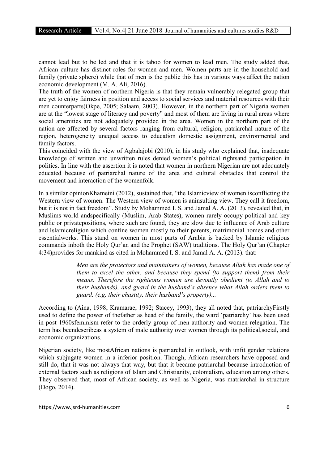cannot lead but to be led and that it is taboo for women to lead men. The study added that, African culture has distinct roles for women and men. Women parts are in the household and family (private sphere) while that of men is the public this has in various ways affect the nation economic development (M. A. Ali, 2016).

The truth of the women of northern Nigeria is that they remain vulnerably relegated group that are yet to enjoy fairness in position and access to social services and material resources with their men counterparts(Okpe, 2005; Salaam, 2003). However, in the northern part of Nigeria women are at the "lowest stage of literacy and poverty" and most of them are living in rural areas where social amenities are not adequately provided in the area. Women in the northern part of the nation are affected by several factors ranging from cultural, religion, patriarchal nature of the region, heterogeneity unequal access to education domestic assignment, environmental and family factors.

This coincided with the view of Agbalajobi (2010), in his study who explained that, inadequate knowledge of written and unwritten rules denied women's political rightsand participation in politics. In line with the assertion it is noted that women in northern Nigerian are not adequately educated because of patriarchal nature of the area and cultural obstacles that control the movement and interaction of the womenfolk.

In a similar opinionKhameini (2012), sustained that, "the Islamicview of women isconflicting the Western view of women. The Western view of women is aninsulting view. They call it freedom, but it is not in fact freedom". Study by Mohammed I. S. and Jamal A. A. (2013), revealed that, in Muslims world andspecifically (Muslim, Arab States), women rarely occupy political and key public or privatepositions, where such are found, they are slow due to influence of Arab culture and Islamicreligion which confine women mostly to their parents, matrimonial homes and other essentialworks. This stand on women in most parts of Arabia is backed by Islamic religious commands inboth the Holy Qur'an and the Prophet (SAW) traditions. The Holy Qur'an (Chapter 4:34)provides for mankind as cited in Mohammed I. S. and Jamal A. A. (2013). that:

> *Men are the protectors and maintainers of women, because Allah has made one of them to excel the other, and because they spend (to support them) from their means. Therefore the righteous women are devoutly obedient (to Allah and to their husbands), and guard in the husband's absence what Allah orders them to guard. (e.g. their chastity, their husband's property)...*

According to (Aina, 1998; Kramarae, 1992; Stacey, 1993), they all noted that, patriarchyFirstly used to define the power of thefather as head of the family, the ward 'patriarchy' has been used in post 1960sfeminism refer to the orderly group of men authority and women relegation. The term has beendescribeas a system of male authority over women through its political,social, and economic organizations.

Nigerian society, like mostAfrican nations is patriarchal in outlook, with unfit gender relations which subjugate women in a inferior position. Though, African researchers have opposed and still do, that it was not always that way, but that it became patriarchal because introduction of external factors such as religions of Islam and Christianity, colonialism, education among others. They observed that, most of African society, as well as Nigeria, was matriarchal in structure (Dogo, 2014).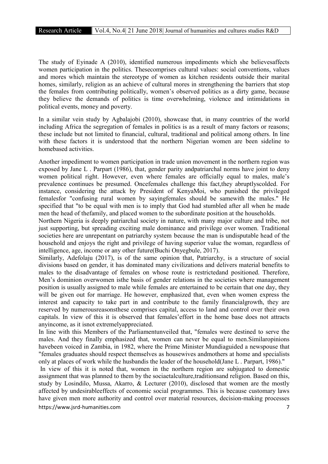The study of Eyinade A (2010), identified numerous impediments which she believesaffects women participation in the politics. Thesecomprises cultural values: social conventions, values and mores which maintain the stereotype of women as kitchen residents outside their marital homes, similarly, religion as an achieve of cultural mores in strengthening the barriers that stop the females from contributing politically, women's observed politics as a dirty game, because they believe the demands of politics is time overwhelming, violence and intimidations in political events, money and poverty.

In a similar vein study by Agbalajobi (2010), showcase that, in many countries of the world including Africa the segregation of females in politics is as a result of many factors or reasons; these include but not limited to financial, cultural, traditional and political among others. In line with these factors it is understood that the northern Nigerian women are been sideline to homebased activities.

Another impediment to women participation in trade union movement in the northern region was exposed by Jane L . Parpart (1986), that, gender parity andpatriarchal norms have joint to deny women political right. However, even where females are officially equal to males, male's prevalence continues be presumed. Oncefemales challenge this fact,they abruptlyscolded. For instance, considering the attack by President of KenyaMoi, who punished the privileged femalesfor "confusing rural women by sayingfemales should be samewith the males." He specified that "to be equal with men is to imply that God had stumbled after all when he made men the head of thefamily, and placed women to the subordinate position at the households.

Northern Nigeria is deeply patriarchal society in nature, with many major culture and tribe, not just supporting, but spreading exciting male dominance and privilege over women. Traditional societies here are unrepentant on patriarchy system because the man is undisputable head of the household and enjoys the right and privilege of having superior value the woman, regardless of intelligence, age, income or any other future(Buchi Onyegbule, 2017).

Similarly, Adefolaju (2017), is of the same opinion that, Patriarchy, is a structure of social divisions based on gender, it has dominated many civilizations and delivers material benefits to males to the disadvantage of females on whose route is restrictedand positioned. Therefore, Men's dominion overwomen isthe basis of gender relations in the societies where management position is usually assigned to male while females are entertained to be certain that one day, they will be given out for marriage. He however, emphasized that, even when women express the interest and capacity to take part in and contribute to the family financialgrowth, they are reserved by numerousreasonsthese comprises capital, access to land and control over their own capitals. In view of this it is observed that females'effort in the home base does not attracts anyincome, as it isnot extremelyappreciated.

In line with this Members of the Parliamentunveiled that, "females were destined to serve the males. And they finally emphasized that, women can never be equal to men.Similaropinions havebeen voiced in Zambia, in 1982, where the Prime Minister Mundiaguided a newspouse that "females graduates should respect themselves as housewives andmothers at home and specialists only at places of work while the husbandis the leader of the household(Jane L . Parpart, 1986)."

https://www.jsrd-humanities.com 7 In view of this it is noted that, women in the northern region are subjugated to domestic assignment that was planned to them by the sociaetalculture,traditionsand religion. Based on this, study by Losindilo, Mussa, Akarro, & Lecturer (2010), disclosed that women are the mostly affected by undesirableeffects of economic social programmes. This is because customary laws have given men more authority and control over material resources, decision-making processes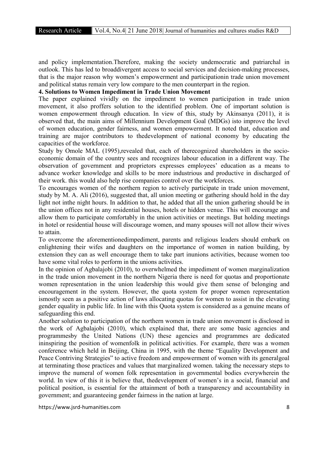and policy implementation.Therefore, making the society undemocratic and patriarchal in outlook. This has led to broaddivergent access to social services and decision-making processes, that is the major reason why women's empowerment and participationin trade union movement and political status remain very low compare to the men counterpart in the region.

4. Solutions to Women Impediment in Trade Union Movement

The paper explained vividly on the impediment to women participation in trade union movement, it also proffers solution to the identified problem. One of important solution is women empowerment through education. In view of this, study by Akinsanya (2011), it is observed that, the main aims of Millennium Development Goal (MDGs) isto improve the level of women education, gender fairness, and women empowerment. It noted that, education and training are major contributors to thedevelopment of national economy by educating the capacities of the workforce.

Study by Omole MAL (1995),revealed that, each of therecognized shareholders in the socioeconomic domain of the country sees and recognizes labour education in a different way. The observation of government and proprietors expresses employees' education as a means to advance worker knowledge and skills to be more industrious and productive in discharged of their work. this would also help rise companies control over the workforces.

To encourages women of the northern region to actively participate in trade union movement, study by M. A. Ali (2016), suggested that, all union meeting or gathering should hold in the day light not inthe night hours. In addition to that, he added that all the union gathering should be in the union offices not in any residential houses, hotels or hidden venue. This will encourage and allow them to participate comfortably in the union activities or meetings. But holding meetings in hotel or residential house will discourage women, and many spouses will not allow their wives to attain.

To overcome the aforementionedimpediment, parents and religious leaders should embark on enlightening their wifes and daughters on the importance of women in nation building, by extension they can as well encourage them to take part inunions activities, because women too have some vital roles to perform in the unions activities.

In the opinion of Agbalajobi (2010), to overwhelmed the impediment of women marginalization in the trade union movement in the northern Nigeria there is need for quotas and proportionate women representation in the union leadership this would give them sense of belonging and encouragement in the system. However, the quota system for proper women representation ismostly seen as a positive action of laws allocating quotas for women to assist in the elevating gender equality in public life. In line with this Quota system is considered as a genuine means of safeguarding this end.

Another solution to participation of the northern women in trade union movement is disclosed in the work of Agbalajobi (2010), which explained that, there are some basic agencies and programmesby the United Nations (UN) these agencies and programmes are dedicated ininspiring the position of womenfolk in political activities. For example, there was a women conference which held in Beijing, China in 1995, with the theme "Equality Development and Peace Contriving Strategies" to active freedom and empowerment of women with its generalgoal at terminating those practices and values that marginalized women. taking the necessary steps to improve the numeral of women folk representation in governmental bodies everywherein the world. In view of this it is believe that, thedevelopment of women's in a social, financial and political position, is essential for the attainment of both a transparency and accountability in government; and guaranteeing gender fairness in the nation at large.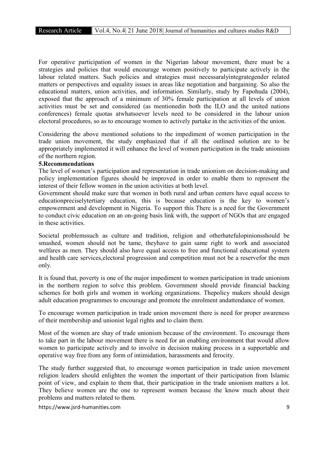For operative participation of women in the Nigerian labour movement, there must be a strategies and policies that would encourage women positively to participate actively in the labour related matters. Such policies and strategies must necessaralyintegrategender related matters or perspectives and equality issues in areas like negotiation and bargaining. So also the educational matters, union activities, and information. Similarly, study by Fapohuda (2004), exposed that the approach of a minimum of 30% female participation at all levels of union activities must be set and considered (as mentionedin both the ILO and the united nations conferences) female quotas atwhatsoever levels need to be considered in the labour union electoral procedures, so as to encourage women to actively partake in the activities of the union.

Considering the above mentioned solutions to the impediment of women participation in the trade union movement, the study emphasized that if all the outlined solution are to be appropriately implemented it will enhance the level of women participation in the trade unionism of the northern region.

#### 5.Recommendations

The level of women's participation and representation in trade unionism on decision-making and policy implementation figures should be improved in order to enable them to represent the interest of their fellow women in the union activities at both level.

Government should make sure that women in both rural and urban centers have equal access to educationpreciselytertiary education, this is because education is the key to women's empowerment and development in Nigeria. To support this There is a need for the Government to conduct civic education on an on-going basis link with, the support of NGOs that are engaged in these activities.

Societal problemssuch as culture and tradition, religion and otherhatefulopinionsshould be smashed, women should not be tame, theyhave to gain same right to work and associated welfares as men. They should also have equal access to free and functional educational system and health care services,electoral progression and competition must not be a reservefor the men only.

It is found that, poverty is one of the major impediment to women participation in trade unionism in the northern region to solve this problem. Government should provide financial backing schemes for both girls and women in working organizations. Thepolicy makers should design adult education programmes to encourage and promote the enrolment andattendance of women.

To encourage women participation in trade union movement there is need for proper awareness of their membership and unionist legal rights and to claim them.

Most of the women are shay of trade unionism because of the environment. To encourage them to take part in the labour movement there is need for an enabling environment that would allow women to participate actively and to involve in decision making process in a supportable and operative way free from any form of intimidation, harassments and ferocity.

The study further suggested that, to encourage women participation in trade union movement religion leaders should enlighten the women the important of their participation from Islamic point of view, and explain to them that, their participation in the trade unionism matters a lot. They believe women are the one to represent women because the know much about their problems and matters related to them.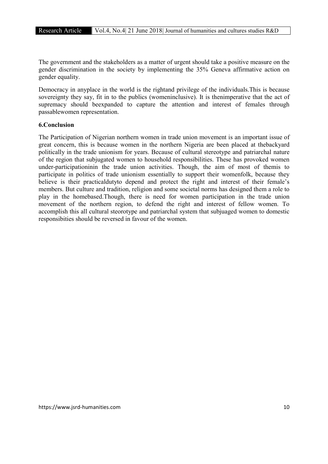The government and the stakeholders as a matter of urgent should take a positive measure on the gender discrimination in the society by implementing the 35% Geneva affirmative action on gender equality.

Democracy in anyplace in the world is the rightand privilege of the individuals.This is because sovereignty they say, fit in to the publics (womeninclusive). It is thenimperative that the act of supremacy should beexpanded to capture the attention and interest of females through passablewomen representation.

#### 6.Conclusion

The Participation of Nigerian northern women in trade union movement is an important issue of great concern, this is because women in the northern Nigeria are been placed at thebackyard politically in the trade unionism for years. Because of cultural stereotype and patriarchal nature of the region that subjugated women to household responsibilities. These has provoked women under-participationinin the trade union activities. Though, the aim of most of themis to participate in politics of trade unionism essentially to support their womenfolk, because they believe is their practicaldutyto depend and protect the right and interest of their female's members. But culture and tradition, religion and some societal norms has designed them a role to play in the homebased.Though, there is need for women participation in the trade union movement of the northern region, to defend the right and interest of fellow women. To accomplish this all cultural steorotype and patriarchal system that subjuaged women to domestic responsibities should be reversed in favour of the women.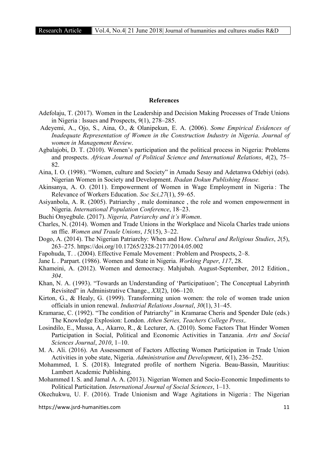#### References

- Adefolaju, T. (2017). Women in the Leadership and Decision Making Processes of Trade Unions in Nigeria : Issues and Prospects, *9*(1), 278–285.
- Adeyemi, A., Ojo, S., Aina, O., & Olanipekun, E. A. (2006). *Some Empirical Evidences of Inadequate Representation of Women in the Construction Industry in Nigeria*. *Journal of women in Management Review*.
- Agbalajobi, D. T. (2010). Women's participation and the political process in Nigeria: Problems and prospects. *African Journal of Political Science and International Relations*, *4*(2), 75– 82.
- Aina, I. O. (1998). "Women, culture and Society" in Amadu Sesay and Adetanwa Odebiyi (eds). Nigerian Women in Society and Development. *Ibadan Dokun Publishing House.*
- Akinsanya, A. O. (2011). Empowerment of Women in Wage Employment in Nigeria : The Relevance of Workers Education. *Soc Sci,27*(1), 59–65.
- Asiyanbola, A. R. (2005). Patriarchy , male dominance , the role and women empowerment in Nigeria. *International Population Conference*, 18–23.
- Buchi Onyegbule. (2017). *Nigeria, Patriarchy and it's Women*.
- Charles, N. (2014). Women and Trade Unions in the Workplace and Nicola Charles trade unions sn ffie. *Women and Traule Unions*, *15*(15), 3–22.
- Dogo, A. (2014). The Nigerian Patriarchy: When and How. *Cultural and Religious Studies*, *2*(5), 263–275. https://doi.org/10.17265/2328-2177/2014.05.002
- Fapohuda, T. . (2004). Effective Female Movement : Problem and Prospects, 2–8.
- Jane L . Parpart. (1986). Women and State in Nigeria. *Working Paper*, *117*, 28.
- Khameini, A. (2012). Women and democracy. Mahjubah. August-September, 2012 Edition., *304*.
- Khan, N. A. (1993). "Towards an Understanding of 'Participatiuon'; The Conceptual Labyrinth Revisited" in Administrative Change., *XX*(2), 106–120.
- Kirton, G., & Healy, G. (1999). Transforming union women: the role of women trade union officials in union renewal. *Industrial Relations Journal*, *30*(1), 31–45.
- Kramarae, C. (1992). "The condition of Patriarchy" in Kramarae Cheris and Spender Dale (eds.) The Knowledge Explosion: London. *Athen Series, Teachers College Press,.*
- Losindilo, E., Mussa, A., Akarro, R., & Lecturer, A. (2010). Some Factors That Hinder Women Participation in Social, Political and Economic Activities in Tanzania. *Arts and Social Sciences Journal*, *2010*, 1–10.
- M. A. Ali. (2016). An Assessement of Factors Affecting Women Participation in Trade Union Activities in yobe state, Nigeria. *Administration and Development*, *6*(1), 236–252.
- Mohammed, I. S. (2018). Integrated profile of northern Nigeria. Beau-Bassin, Mauritius: Lambert Academic Publishing.
- Mohammed I. S. and Jamal A. A. (2013). Nigerian Women and Socio-Economic Impediments to Political Particitation. *International Journal of Social Sciences*, 1–13.
- Okechukwu, U. F. (2016). Trade Unionism and Wage Agitations in Nigeria: The Nigerian